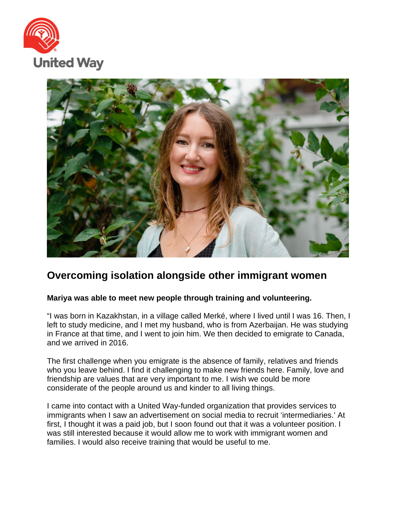



## **Overcoming isolation alongside other immigrant women**

## **Mariya was able to meet new people through training and volunteering.**

"I was born in Kazakhstan, in a village called Merké, where I lived until I was 16. Then, I left to study medicine, and I met my husband, who is from Azerbaijan. He was studying in France at that time, and I went to join him. We then decided to emigrate to Canada, and we arrived in 2016.

The first challenge when you emigrate is the absence of family, relatives and friends who you leave behind. I find it challenging to make new friends here. Family, love and friendship are values that are very important to me. I wish we could be more considerate of the people around us and kinder to all living things.

I came into contact with a United Way-funded organization that provides services to immigrants when I saw an advertisement on social media to recruit 'intermediaries.' At first, I thought it was a paid job, but I soon found out that it was a volunteer position. I was still interested because it would allow me to work with immigrant women and families. I would also receive training that would be useful to me.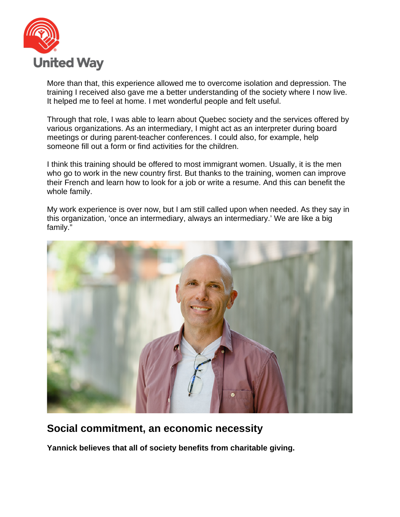

More than that, this experience allowed me to overcome isolation and depression. The training I received also gave me a better understanding of the society where I now live. It helped me to feel at home. I met wonderful people and felt useful.

Through that role, I was able to learn about Quebec society and the services offered by various organizations. As an intermediary, I might act as an interpreter during board meetings or during parent-teacher conferences. I could also, for example, help someone fill out a form or find activities for the children.

I think this training should be offered to most immigrant women. Usually, it is the men who go to work in the new country first. But thanks to the training, women can improve their French and learn how to look for a job or write a resume. And this can benefit the whole family.

My work experience is over now, but I am still called upon when needed. As they say in this organization, 'once an intermediary, always an intermediary.' We are like a big family."



## **Social commitment, an economic necessity**

**Yannick believes that all of society benefits from charitable giving.**